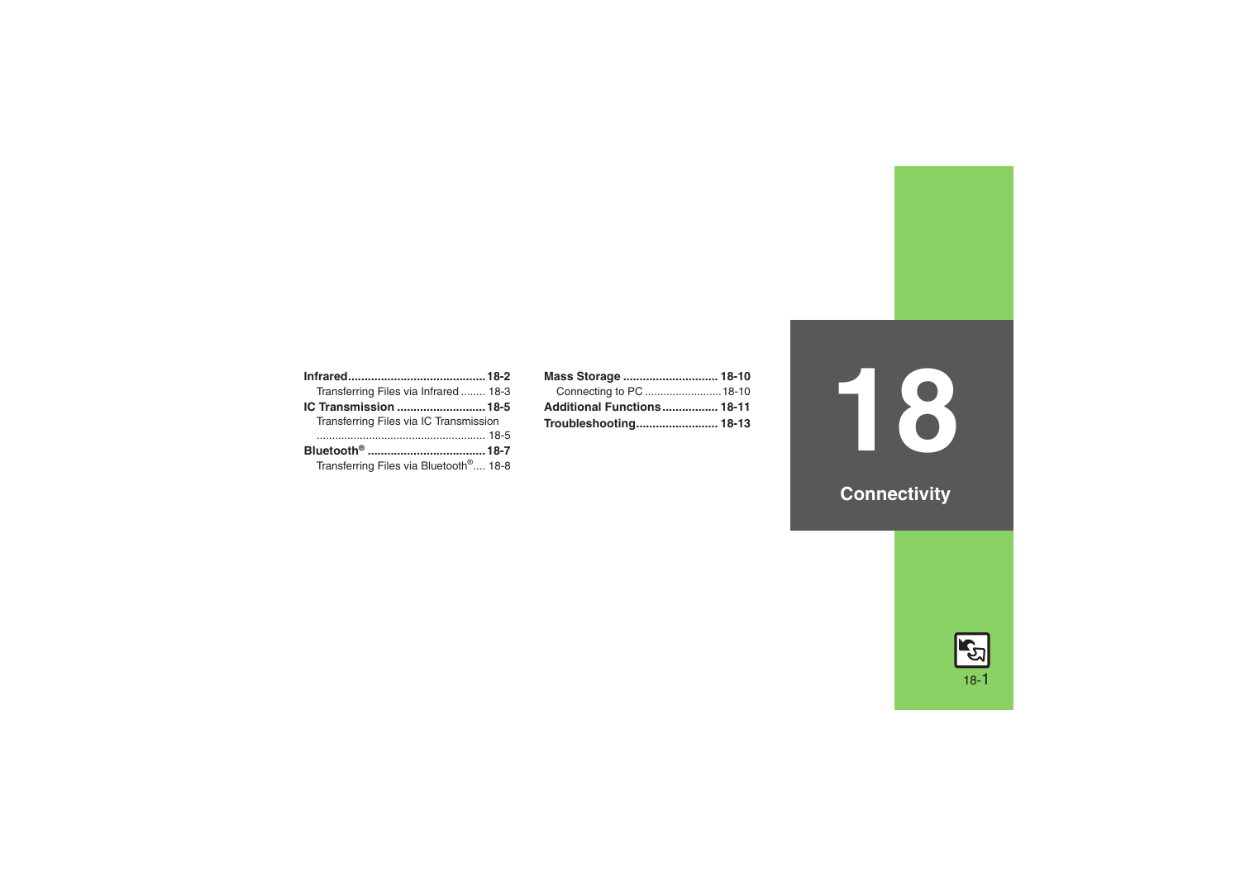| Transferring Files via Infrared 18-3               |
|----------------------------------------------------|
| IC Transmission  18-5                              |
| Transferring Files via IC Transmission             |
|                                                    |
|                                                    |
| Transferring Files via Bluetooth <sup>®</sup> 18-8 |

| Mass Storage  18-10        |  |
|----------------------------|--|
| Connecting to PC  18-10    |  |
| Additional Functions 18-11 |  |
|                            |  |

# **18**

**Connectivity**

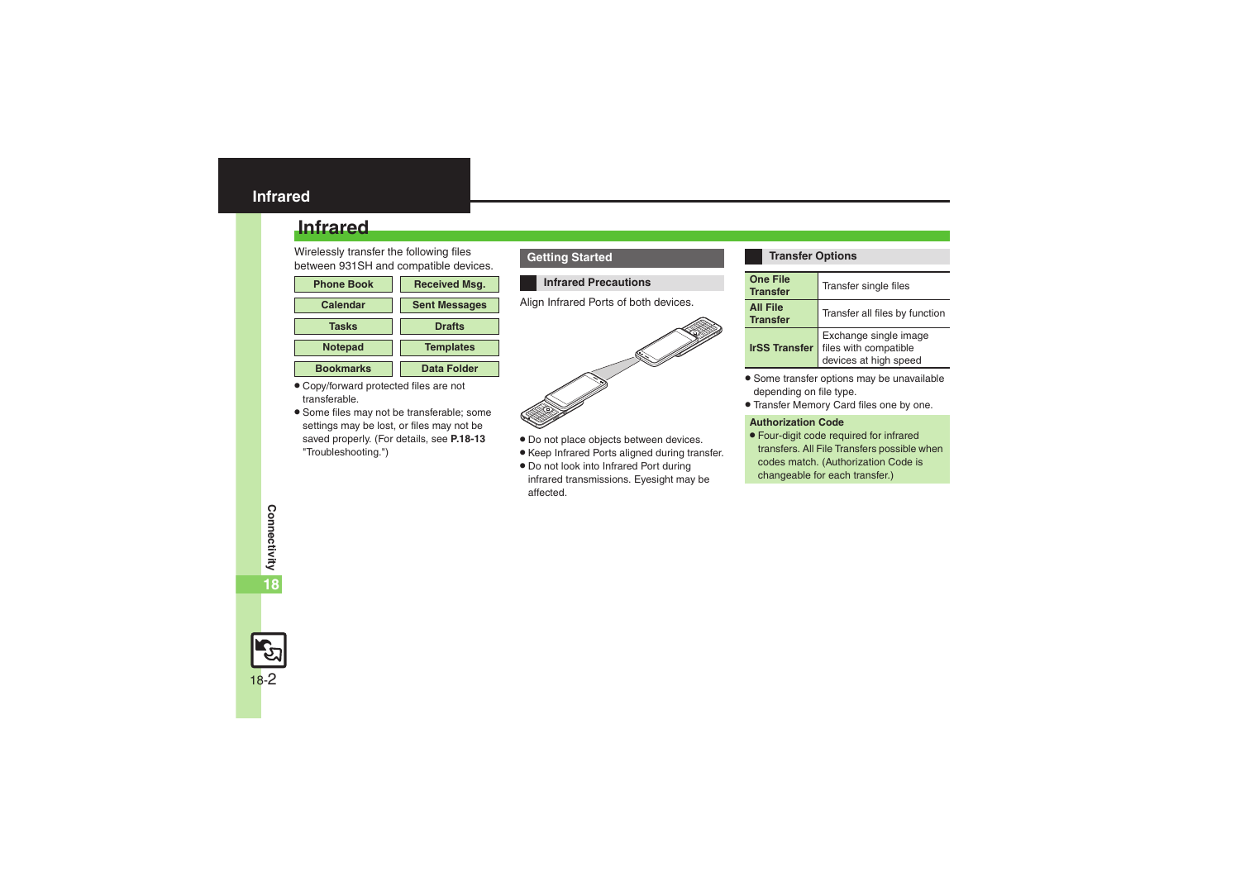## <span id="page-1-0"></span>**Infrared**

Wirelessly transfer the following files between 931SH and compatible devices.

| <b>Phone Book</b> | <b>Received Msg.</b> |
|-------------------|----------------------|
| <b>Calendar</b>   | <b>Sent Messages</b> |
| <b>Tasks</b>      | <b>Drafts</b>        |
| <b>Notepad</b>    | <b>Templates</b>     |
| <b>Bookmarks</b>  | Data Folder          |

- . Copy/forward protected files are not transferable.
- . Some files may not be transferable; some settings may be lost, or files may not be saved properly. (For details, see **[P.18-13](#page-12-0)** "Troubleshooting.")

#### **Getting Started**

#### **Infrared Precautions**

Align Infrared Ports of both devices.



- . Do not place objects between devices.
- . Keep Infrared Ports aligned during transfer.
- . Do not look into Infrared Port during infrared transmissions. Eyesight may be affected.

#### **Transfer Options**

| <b>One File</b><br><b>Transfer</b> | Transfer single files                                                   |
|------------------------------------|-------------------------------------------------------------------------|
| <b>All File</b><br><b>Transfer</b> | Transfer all files by function                                          |
| <b>IrSS Transfer</b>               | Exchange single image<br>files with compatible<br>devices at high speed |

- . Some transfer options may be unavailable depending on file type.
- . Transfer Memory Card files one by one.

#### **Authorization Code**

. Four-digit code required for infrared transfers. All File Transfers possible when codes match. (Authorization Code is changeable for each transfer.)

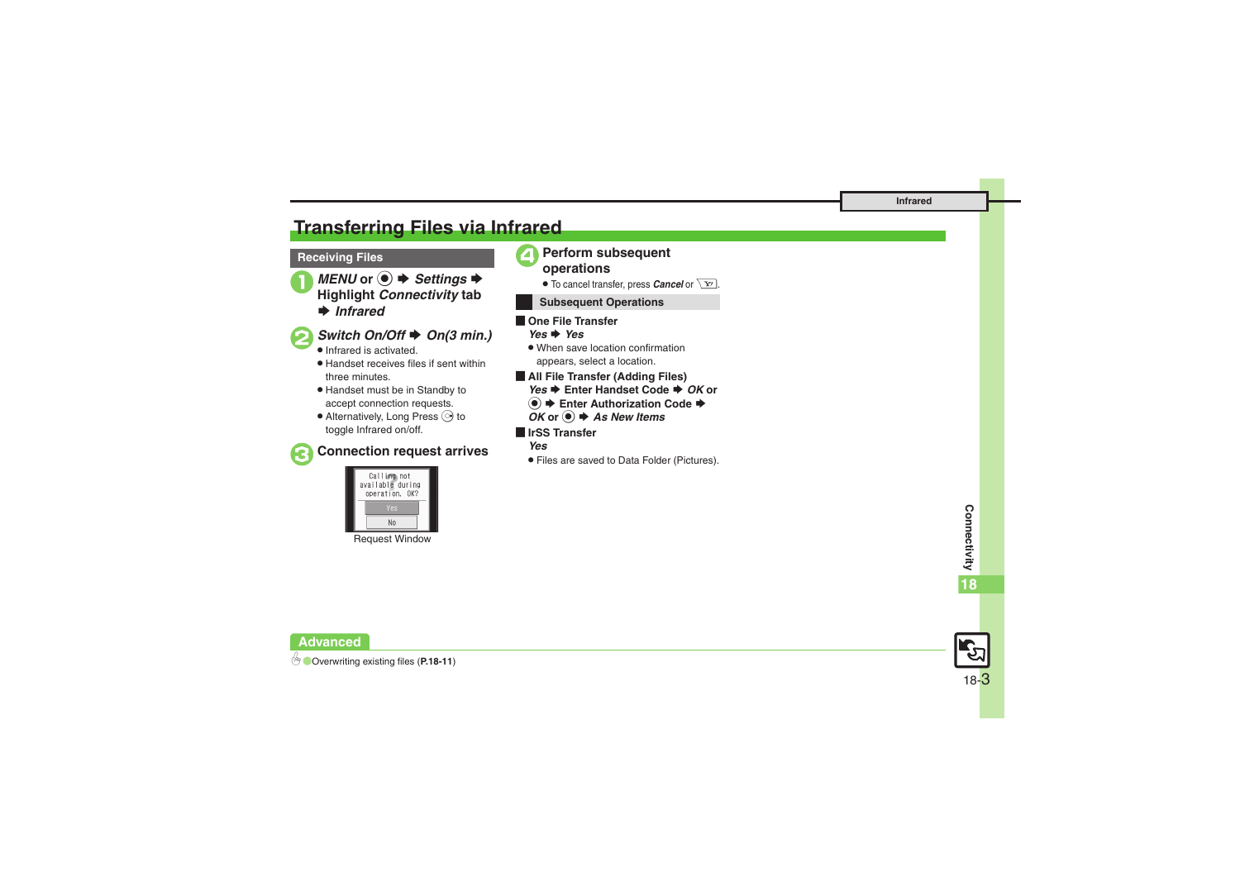## <span id="page-2-0"></span>**Transferring Files via Infrared**

#### **Receiving Files**



## *Switch On/Off*  $\rightarrow$  *On(3 min.)*

- **.** Infrared is activated.
- . Handset receives files if sent within three minutes.
- . Handset must be in Standby to accept connection requests.
- $\bullet$  Alternatively, Long Press  $\odot$  to toggle Infrared on/off.

## 3**Connection request arrives**



Request Window

# <sup>4</sup>**Perform subsequent operations**

 $\bullet$  To cancel transfer, press *Cancel* or  $\boxed{\mathbf{Y}}$ .

#### **Subsequent Operations**

#### $\blacksquare$  One File Transfer *Yes* S *Yes*

- . When save location confirmation appears, select a location.
- [ **All File Transfer (Adding Files)** *Yes* ♦ Enter Handset Code ♦ *OK* or **(●)**  $\blacktriangleright$  **Enter Authorization Code**  $\blacktriangleright$ *OK* or ●  $\blacklozenge$  **As New Items**
- [ **IrSS Transfer**
	- *Yes*
	- . Files are saved to Data Folder (Pictures).



0([Overwriting existing files](#page-10-1) (**[P.18-11](#page-10-1)**)

**Advanced**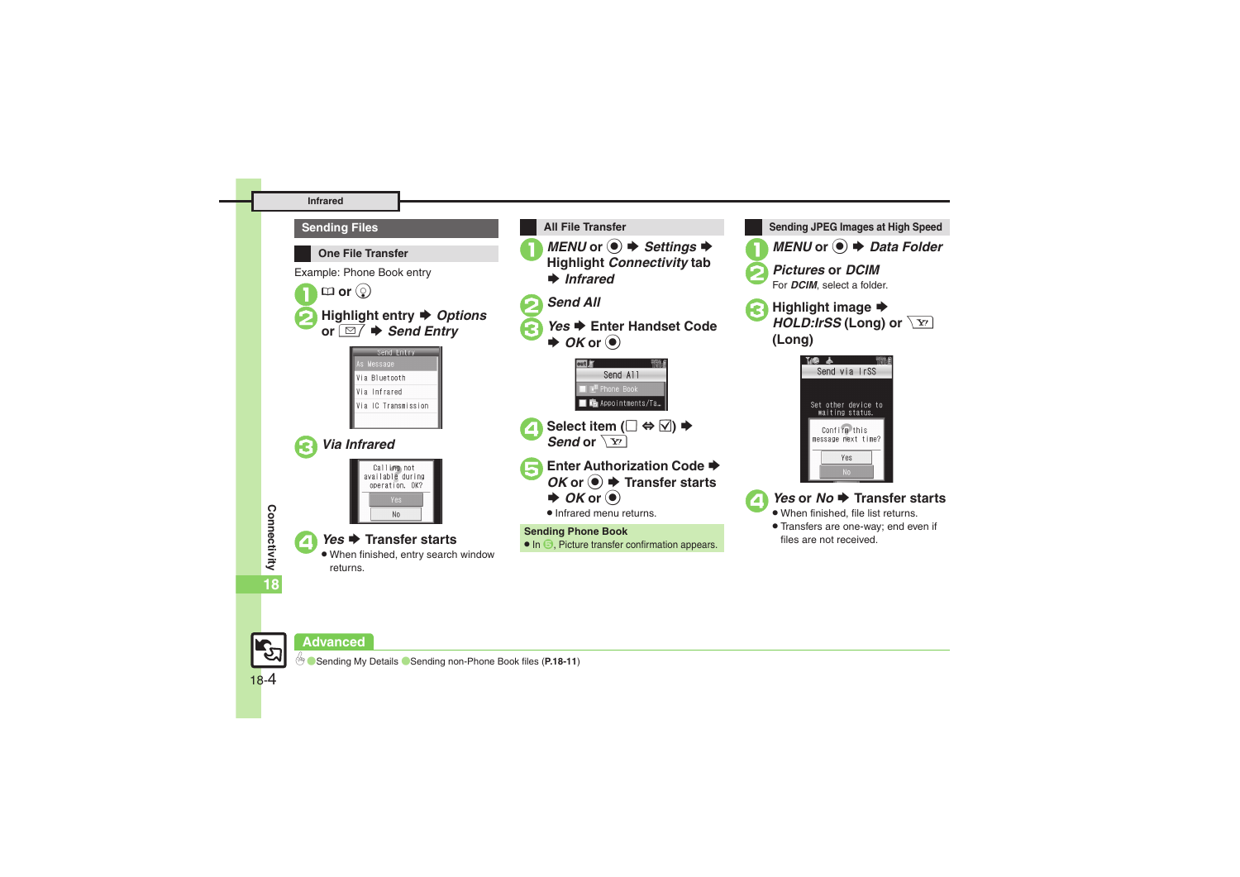#### **Infrared**







#### **Advanced**

18-4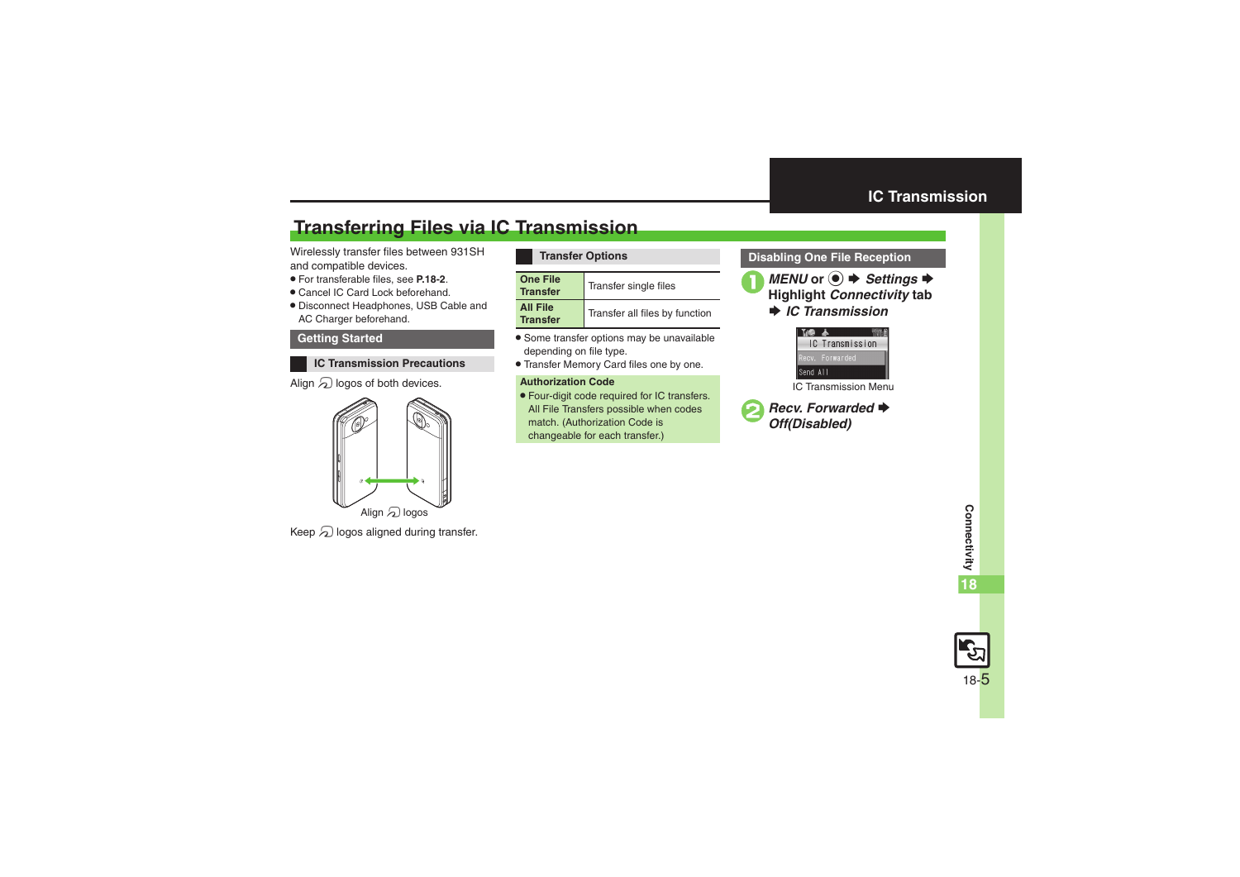## <span id="page-4-1"></span>**Transferring Files via IC Transmission**

Wirelessly transfer files between 931SH and compatible devices.

- . For transferable files, see **[P.18-2](#page-1-0)**.
- . Cancel IC Card Lock beforehand.
- . Disconnect Headphones, USB Cable and AC Charger beforehand.

#### **Getting Started**

**IC Transmission Precautions**

#### Align  $\mathfrak A$  logos of both devices.



Keep  $\mathfrak A$  logos aligned during transfer.

#### **Transfer Options**

| <b>One File</b><br><b>Transfer</b> | Transfer single files          |
|------------------------------------|--------------------------------|
| <b>All File</b><br><b>Transfer</b> | Transfer all files by function |

- . Some transfer options may be unavailable depending on file type.
- . Transfer Memory Card files one by one.

#### **Authorization Code**

. Four-digit code required for IC transfers. All File Transfers possible when codes match. (Authorization Code is changeable for each transfer.)

#### <span id="page-4-0"></span>**Disabling One File Reception**





IC Transmission Menu

**2** Recv. Forwarded  $\rightarrow$ *Off(Disabled)*

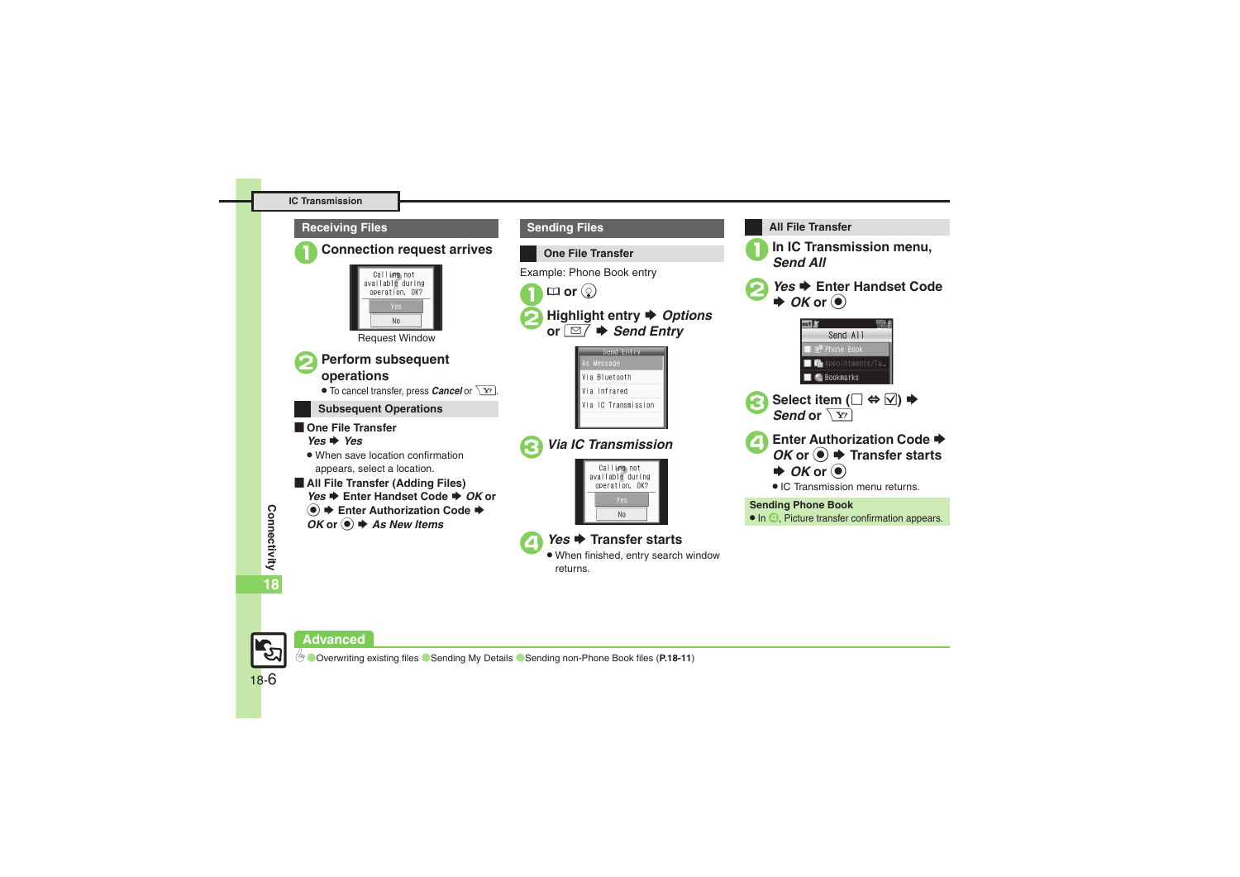



**Connectivity Connectivity** 

18-6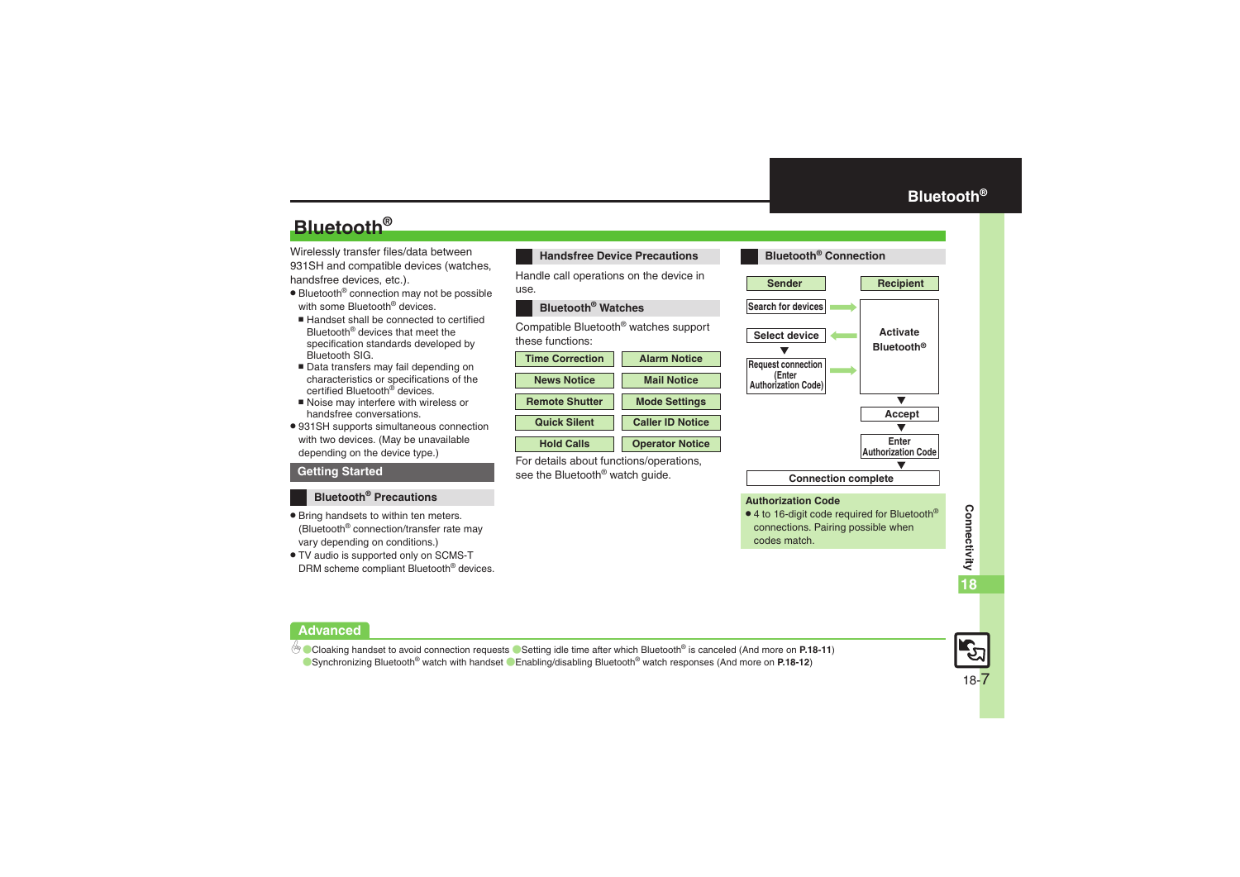## **Bluetooth®**

Wirelessly transfer files/data between 931SH and compatible devices (watches, handsfree devices, etc.).

- . Bluetooth® connection may not be possible with some Bluetooth<sup>®</sup> devices.
- Handset shall be connected to certified Bluetooth® devices that meet the specification standards developed by Bluetooth SIG.
- Data transfers may fail depending on characteristics or specifications of the certified Bluetooth<sup>®</sup> devices.
- Noise may interfere with wireless or handsfree conversations.
- . 931SH supports simultaneous connection with two devices. (May be unavailable depending on the device type.)

#### **Getting Started**

#### **Bluetooth® Precautions**

- . Bring handsets to within ten meters. (Bluetooth® connection/transfer rate may vary depending on conditions.)
- . TV audio is supported only on SCMS-T DRM scheme compliant Bluetooth® devices.

#### **Handsfree Device Precautions**

Handle call operations on the device in use.

#### **Bluetooth® Watches**

Compatible Bluetooth® watches support these functions:



For details about functions/operations, see the Bluetooth<sup>®</sup> watch quide.

<span id="page-6-0"></span>

#### **Authorization Code**

 $\bullet$  4 to 16-digit code required for Bluetooth® connections. Pairing possible when codes match.



#### **Advanced**

b [Cloaking handset to avoid connection requests](#page-10-7) C [Setting idle time after which Bluetooth](#page-10-8)<sup>®</sup> is canceled (And more on [P.18-11](#page-10-7)) ■ [Synchronizing Bluetooth](#page-11-0)<sup>®</sup> watch with handset ■ [Enabling/disabling Bluetooth](#page-11-1)<sup>®</sup> watch responses (And more on **[P.18-12](#page-11-0)**)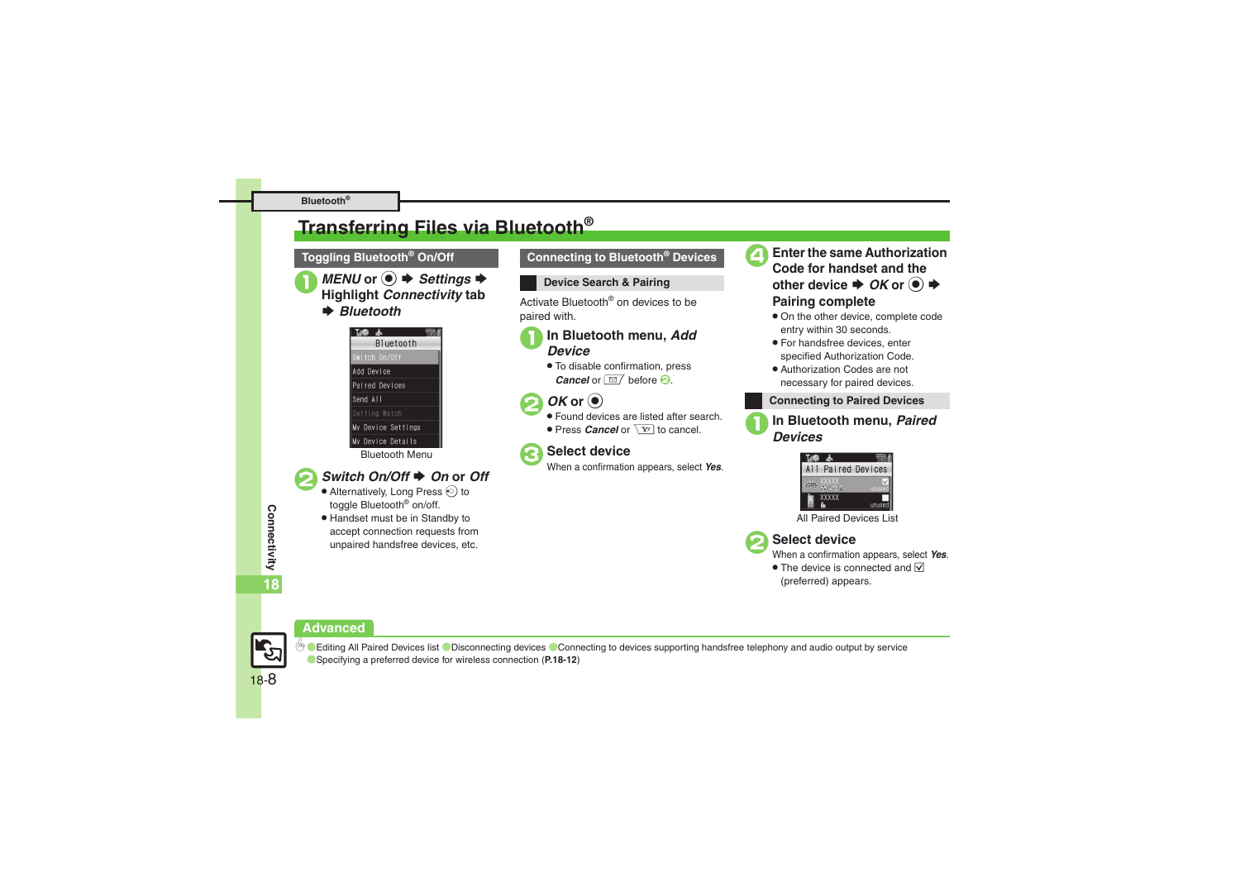## <span id="page-7-0"></span>**Transferring Files via Bluetooth®**



*MENU* or ●  $\rightarrow$  *Settings*  $\rightarrow$  **Highlight** *Connectivity* tab

**▶ Bluetooth** 

| THO Y              |  |
|--------------------|--|
| <b>Bluetooth</b>   |  |
| Switch On/Off      |  |
| Add Device         |  |
| Paired Devices     |  |
| Send All           |  |
| Setting Watch      |  |
| My Device Settings |  |
| My Device Details  |  |
| ----               |  |

#### Bluetooth Menu

#### *Switch On/Off*  $\triangle$  *On* or *Off*

- $\bullet$  Alternatively, Long Press  $\odot$  to toggle Bluetooth<sup>®</sup> on/off.
- . Handset must be in Standby to accept connection requests from unpaired handsfree devices, etc.

#### **Toggling Bluetooth® On/Off Connecting to Bluetooth® Devices**

#### **Device Search & Pairing**

Activate Bluetooth® on devices to be paired with.

# 1**In Bluetooth menu,** *Add Device*

. To disable confirmation, press *Cancel* or  $\boxed{\cong}$  before **2**.

## *OK* or  $\odot$

- Found devices are listed after search.
- **Press** *Cancel* or  $\boxed{Y}$  to cancel.

3**Select device** When a confirmation appears, select *Yes*.



4**Enter the same Authorization Code for handset and the**  $\bullet$  other device  $\bullet$  *OK* or  $\circledcirc$   $\bullet$ **Pairing complete**

- . On the other device, complete code entry within 30 seconds.
- . For handsfree devices, enter specified Authorization Code.
- . Authorization Codes are not necessary for paired devices.

#### **Connecting to Paired Devices**



# 1**In Bluetooth menu,** *Paired Devices*



All Paired Devices List



2**Select device** When a confirmation appears, select *Yes*.

 $\bullet$  The device is connected and  $\triangledown$ (preferred) appears.

#### **Advanced**



**Connectivity**

Connectivity

**18**

**DED** Caliting All Paired Devices list **C**[Disconnecting devices](#page-11-3) [Connecting to devices supporting handsfree telephony and audio output by service](#page-11-4) ([Specifying a preferred device for wireless connection](#page-11-5) (**[P.18-12](#page-11-2)**)

18-8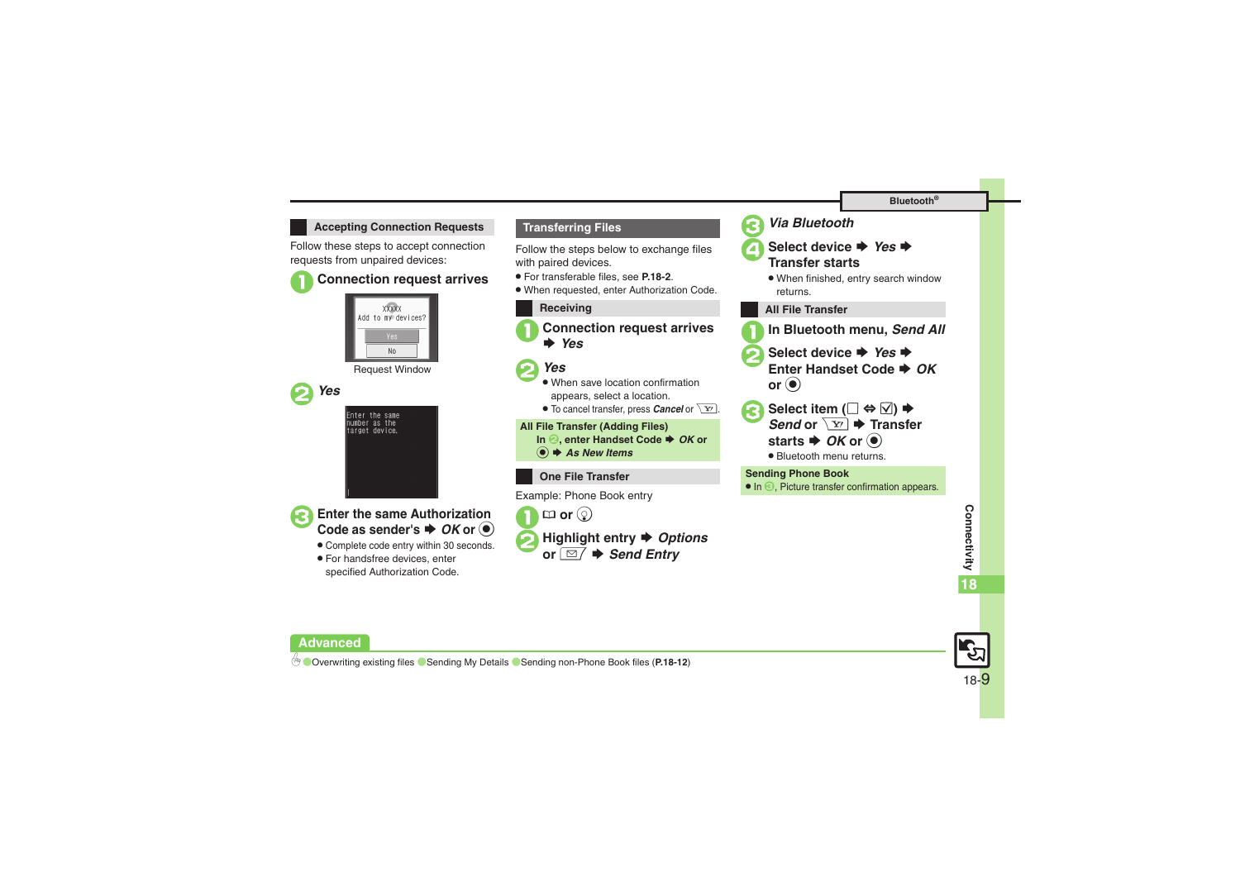#### **Accepting Connection Requests Transferring Files**

Follow these steps to accept connection requests from unpaired devices:

#### 1**Connection request arrives**



Request Window



Enter the same<br>number as the target device.

**Enter the same Authorization** 

. Complete code entry within 30 seconds.

 $\rightarrow$  *OK* or  $\odot$ 

. For handsfree devices, enter specified Authorization Code.

Follow the steps below to exchange files with paired devices.

- . For transferable files, see **[P.18-2](#page-1-0)**.
- . When requested, enter Authorization Code.



1**Connection request arrives**  S *Yes*

## 2*Yes*

- . When save location confirmation appears, select a location.
- $\bullet$  To cancel transfer, press *Cancel* or  $\boxed{\mathbf{Y}}$ .

**All File Transfer (Adding Files)**

- **In** *e***, enter Handset Code**  $\blacktriangleright$  **OK or**
- % S *As New Items*
- **One File Transfer**

Example: Phone Book entry



2**Highlight entry**  S *Options* or *⊠* → *Send Entry* 





▲ Select device ♦ *Yes* **Transfer starts**

- . When finished, entry search window returns.
- **All File Transfer**
- 1**In Bluetooth menu,** *Send All*
- Select device **●** *Yes* **Enter Handset Code ➡** *OK* **or** %
- **Select item (** $\Box \Leftrightarrow \boxdot$ ) **→** *Send* or  $\sqrt{\textbf{x}z}$   $\rightarrow$  Transfer starts  $\blacktriangleright$  *OK* or  $\textcircled{\scriptsize{\bullet}}$ 
	- . Bluetooth menu returns.

**Sending Phone Book**

**•** In  $\bigcirc$ , Picture transfer confirmation appears.



**Advanced**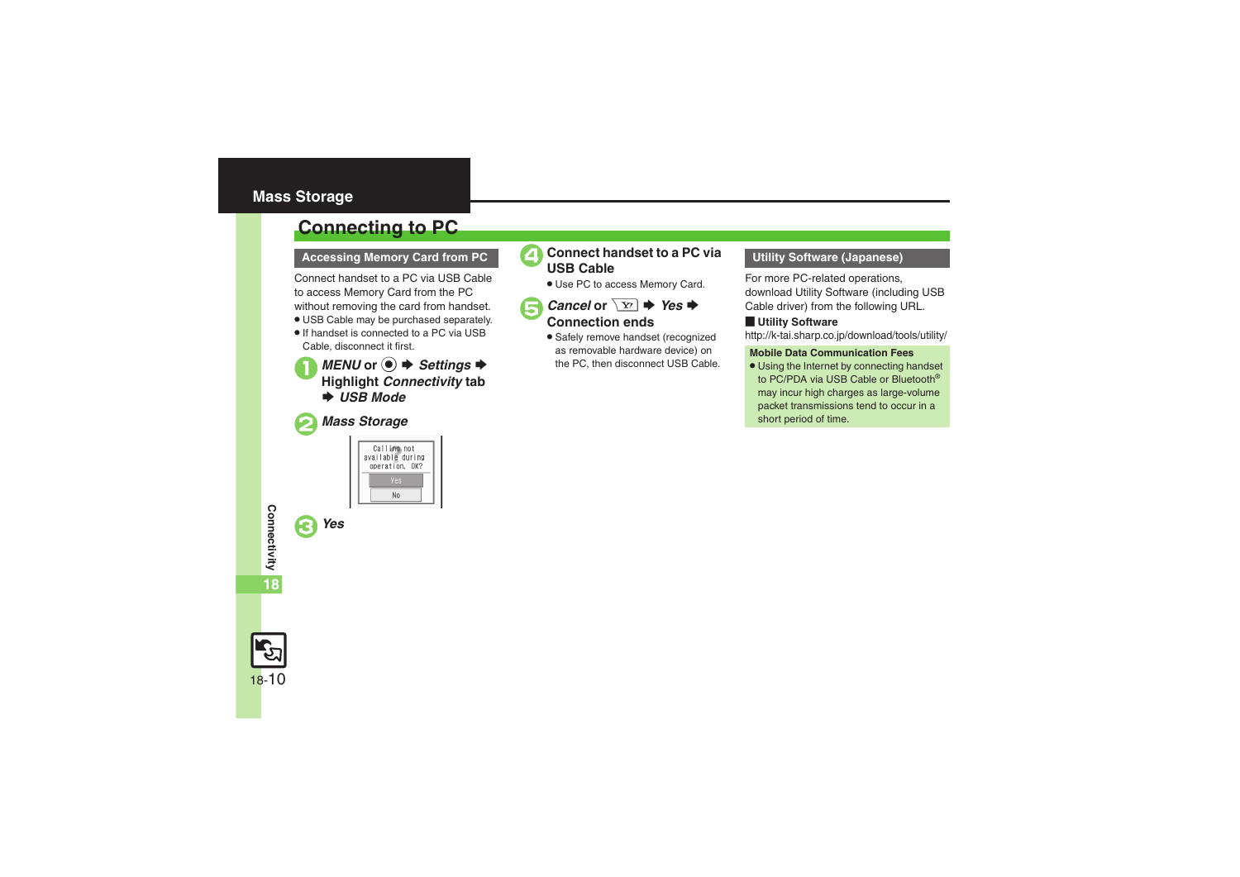#### <span id="page-9-0"></span>**Mass Storage**

## <span id="page-9-1"></span>**Connecting to PC**

Connect handset to a PC via USB Cable to access Memory Card from the PC without removing the card from handset.

- . USB Cable may be purchased separately.
- . If handset is connected to a PC via USB Cable, disconnect it first.

*MENU* or ●  $\rightarrow$  *Settings*  $\rightarrow$  **Highlight** *Connectivity* tab **→ USB Mode** 

#### 2*Mass Storage*

3*Yes*





. Use PC to access Memory Card.

*Cancel* or  $\boxed{Y}$   $\rightarrow$  *Yes*  $\rightarrow$  Connection ends

. Safely remove handset (recognized as removable hardware device) on the PC, then disconnect USB Cable.

For more PC-related operations, download Utility Software (including USB Cable driver) from the following URL.

#### [ **Utility Software**

http://k-tai.sharp.co.jp/download/tools/utility/

#### **Mobile Data Communication Fees**

• Using the Internet by connecting handset to PC/PDA via USB Cable or Bluetooth® may incur high charges as large-volume packet transmissions tend to occur in a short period of time.

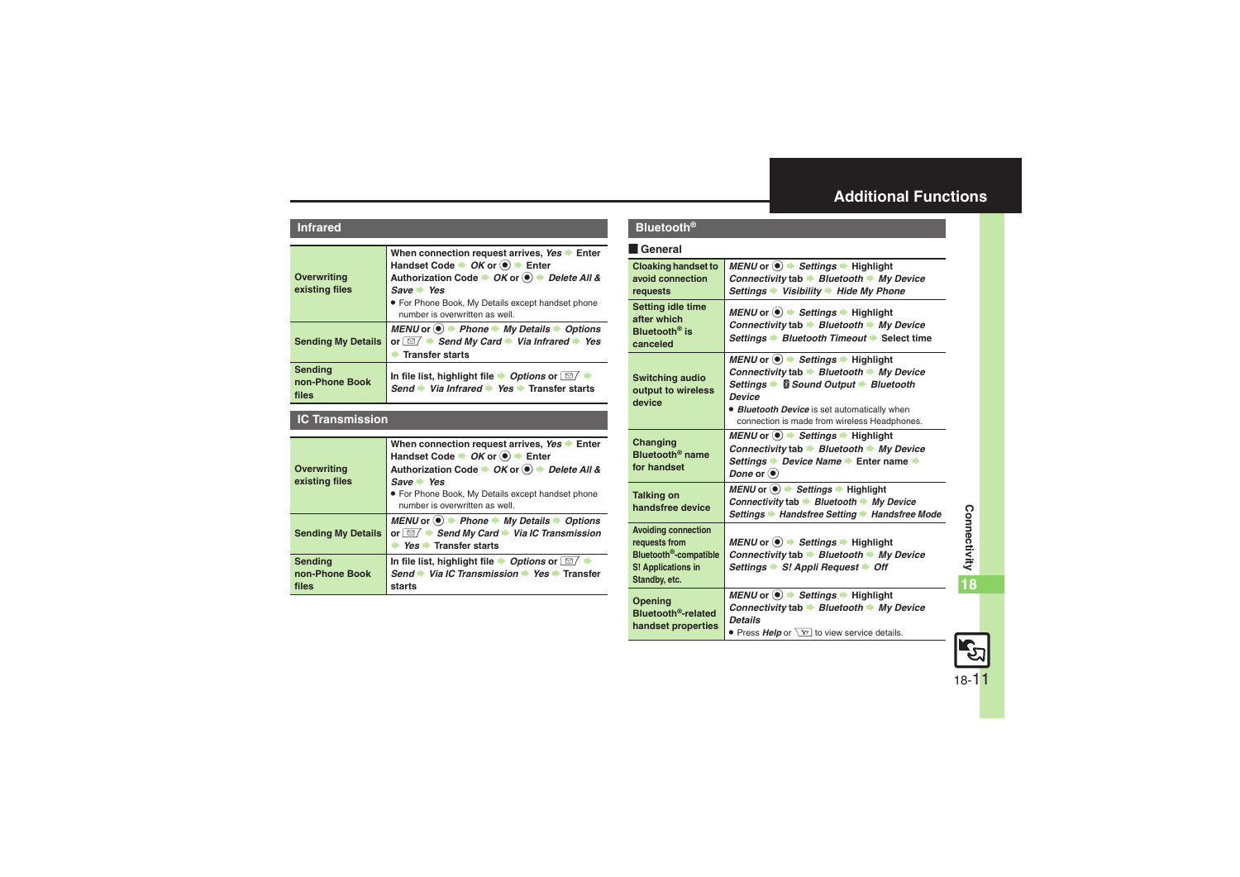#### <span id="page-10-0"></span>**Additional Functions**

#### **Infrared**

<span id="page-10-1"></span>

| <b>Overwriting</b><br>existing files | When connection request arrives, Yes > Enter<br>Handset Code → OK or <sup>(a)</sup> + Enter<br>Authorization Code → OK or ● → Delete All &<br>$Save \rightarrow Yes$<br>• For Phone Book, My Details except handset phone<br>number is overwritten as well. |
|--------------------------------------|-------------------------------------------------------------------------------------------------------------------------------------------------------------------------------------------------------------------------------------------------------------|
| <b>Sending My Details</b>            | MENU or $\textcircled{\bullet}$ $\textdownarrow$ Phone $\textuparrow$ My Details $\textuparrow$ Options<br>or $\Box$ $\rightarrow$ Send My Card $\rightarrow$ Via Infrared $\rightarrow$ Yes<br><b>Transfer starts</b>                                      |
| Sending<br>non-Phone Book<br>files   | In file list, highlight file $\rightarrow$ Options or $\boxed{\simeq}$ $\rightarrow$<br>Send Via Infrared Ves Transfer starts                                                                                                                               |

#### <span id="page-10-3"></span><span id="page-10-2"></span>**IC Transmission**

<span id="page-10-6"></span><span id="page-10-5"></span><span id="page-10-4"></span>

| <b>Overwriting</b><br>existing files | When connection request arrives, Yes > Enter<br>Handset Code $\rightarrow$ OK or $\textcircled{\textcircled{\textcirc}}$ $\rightarrow$ Enter<br>Authorization Code → OK or ● → Delete All &<br>$Save \rightarrow Yes$<br>• For Phone Book, My Details except handset phone<br>number is overwritten as well. |
|--------------------------------------|--------------------------------------------------------------------------------------------------------------------------------------------------------------------------------------------------------------------------------------------------------------------------------------------------------------|
| <b>Sending My Details</b>            | MENU or $\circledast$ $\Rightarrow$ Phone $\Rightarrow$ My Details $\Rightarrow$ Options<br>or $\Box$ Send My Card Via IC Transmission<br>$Yes$ Transfer starts                                                                                                                                              |
| Sending<br>non-Phone Book<br>files   | In file list, highlight file $\rightarrow$ Options or $\Box$<br>Send → Via IC Transmission → Yes → Transfer<br>starts                                                                                                                                                                                        |

#### **Bluetooth®**

#### [ **General**

<span id="page-10-8"></span><span id="page-10-7"></span>

| <b>Cloaking handset to</b><br>avoid connection<br>requests                                                               | $MEMO$ or $\textcircled{\bullet}$ $\blacktriangleright$ Settings $\blacktriangleright$ Highlight<br>Connectivity tab $\rightarrow$ Bluetooth $\rightarrow$ My Device<br>Settings → Visibility → Hide My Phone                                                                            |
|--------------------------------------------------------------------------------------------------------------------------|------------------------------------------------------------------------------------------------------------------------------------------------------------------------------------------------------------------------------------------------------------------------------------------|
| <b>Setting idle time</b><br>after which<br>Bluetooth <sup>®</sup> is<br>canceled                                         | MENU or $\odot$ $\rightarrow$ Settings $\rightarrow$ Highlight<br>Connectivity tab Bluetooth $\rightarrow$ My Device<br>Settings → Bluetooth Timeout → Select time                                                                                                                       |
| <b>Switching audio</b><br>output to wireless<br>device                                                                   | MENU or $\odot \rightarrow$ Settings $\rightarrow$ Highlight<br>Connectivity tab $\rightarrow$ Bluetooth $\rightarrow$ My Device<br>Settings ▶ Sound Output ▶ Bluetooth<br><b>Device</b><br>• Bluetooth Device is set automatically when<br>connection is made from wireless Headphones. |
| Changing<br>Bluetooth <sup>®</sup> name<br>for handset                                                                   | $MENU$ or $\left( \bullet \right) \rightarrow$ Settings $\rightarrow$ Highlight<br>Connectivity tab $\Rightarrow$ Bluetooth $\Rightarrow$ My Device<br>Settings → Device Name → Enter name →<br>Done or $\odot$                                                                          |
| <b>Talking on</b><br>handsfree device                                                                                    | $MENU$ or $\left( \bullet \right)$ $\Rightarrow$ Settings $\Rightarrow$ Highlight<br>Connectivity tab $\rightarrow$ Bluetooth $\rightarrow$ My Device<br>Settings → Handsfree Setting → Handsfree Mode                                                                                   |
| <b>Avoiding connection</b><br>requests from<br>Bluetooth <sup>®</sup> -compatible<br>S! Applications in<br>Standby, etc. | MENU or $\odot$ $\rightarrow$ Settings $\rightarrow$ Highlight<br>Connectivity tab $\rightarrow$ Bluetooth $\rightarrow$ My Device<br>Settings → S! Appli Request → Off                                                                                                                  |
| Opening<br>Bluetooth <sup>®</sup> -related<br>handset properties                                                         | MENU or $\odot$ $\blacktriangleright$ Settings $\blacktriangleright$ Highlight<br>Connectivity tab $\rightarrow$ Bluetooth $\rightarrow$ My Device<br><b>Details</b><br>• Press Help or $\sqrt{Y}$ to view service details.                                                              |

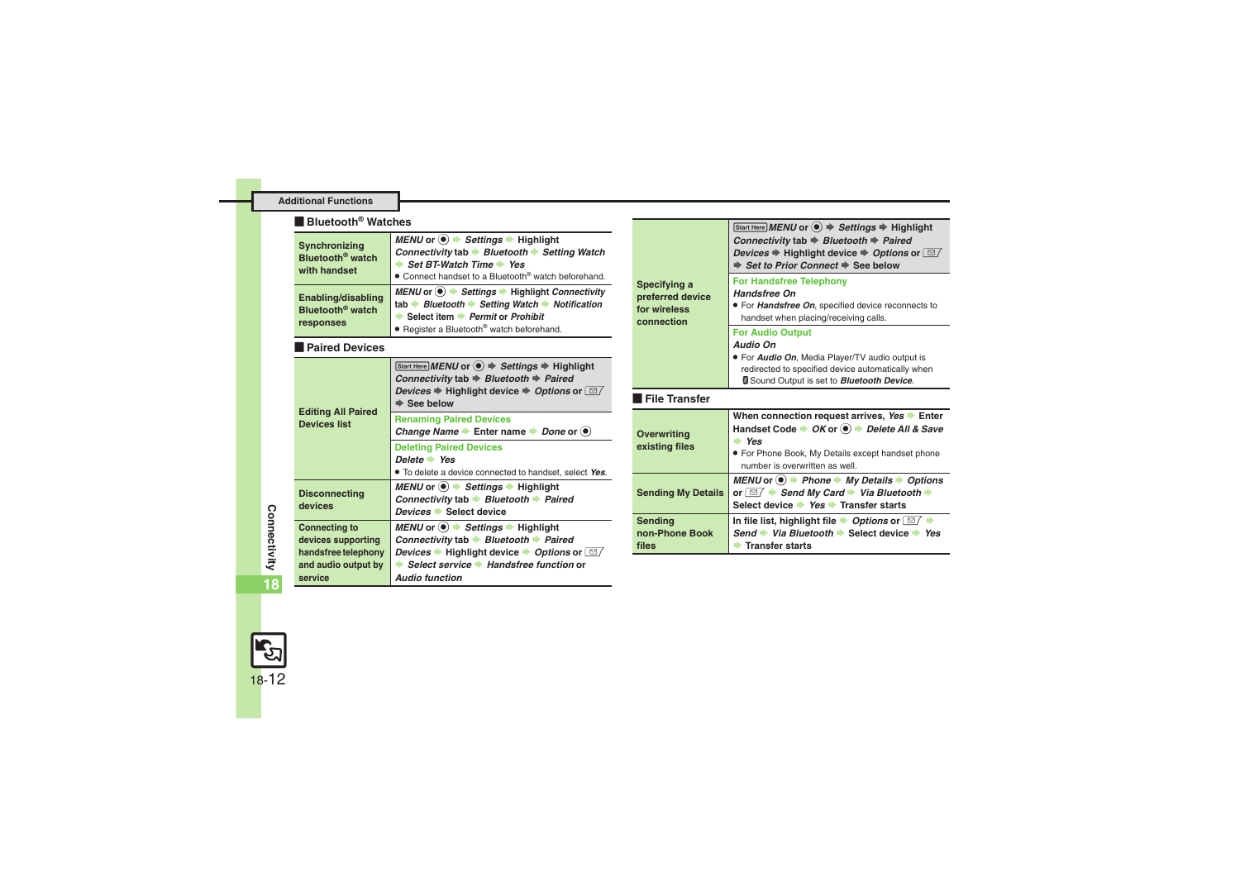#### **Additional Functions**

#### [ **Bluetooth® Watches**

<span id="page-11-0"></span>

| Synchronizing<br>Bluetooth <sup>®</sup> watch<br>with handset   | MENU or $\circledast$ $\rightarrow$ Settings $\rightarrow$ Highlight<br>Connectivity tab → Bluetooth → Setting Watch<br>Set BT-Watch Time Yes<br>• Connect handset to a Bluetooth® watch beforehand. |
|-----------------------------------------------------------------|------------------------------------------------------------------------------------------------------------------------------------------------------------------------------------------------------|
| Enabling/disabling<br>Bluetooth <sup>®</sup> watch<br>responses | MENU or ● → Settings → Highlight Connectivity<br>tab Bluetooth Setting Watch Notification<br>Select item Permit or Prohibit<br>• Register a Bluetooth® watch beforehand.                             |

#### <span id="page-11-1"></span>[ **Paired Devices**

<span id="page-11-2"></span>

| <b>Editing All Paired</b>                                                                           | Start Here MENU or $\textcircled{\textcircled{\textcirc}} \Rightarrow$ Settings $\Rightarrow$ Highlight<br>Connectivity tab $\Rightarrow$ Bluetooth $\Rightarrow$ Paired<br><i>Devices</i> $\Rightarrow$ Highlight device $\Rightarrow$ <i>Options</i> or $\Box$<br><b>See below</b>                                                                       |
|-----------------------------------------------------------------------------------------------------|------------------------------------------------------------------------------------------------------------------------------------------------------------------------------------------------------------------------------------------------------------------------------------------------------------------------------------------------------------|
| Devices list                                                                                        | <b>Renaming Paired Devices</b><br>Change Name $\blacktriangleright$ Enter name $\blacktriangleright$ Done or $\blacklozenge$                                                                                                                                                                                                                               |
|                                                                                                     | <b>Deleting Paired Devices</b><br>Delete $\rightarrow$ Yes<br>. To delete a device connected to handset, select Yes.                                                                                                                                                                                                                                       |
| <b>Disconnecting</b><br>devices                                                                     | MENU or $\odot$ $\rightarrow$ Settings $\rightarrow$ Highlight<br>Connectivity tab $\rightarrow$ Bluetooth $\rightarrow$ Paired<br>Devices Select device                                                                                                                                                                                                   |
| <b>Connecting to</b><br>devices supporting<br>handsfree telephony<br>and audio output by<br>service | MENU or $\textcircled{\textcircled{\textcirc}}$ $\blacktriangleright$ Settings $\blacktriangleright$ Highlight<br>Connectivity tab $\rightarrow$ Bluetooth $\rightarrow$ Paired<br><i>Devices</i> $\blacktriangleright$ Highlight device $\blacktriangleright$ <i>Options</i> or $\Box$<br>Select service • Handsfree function or<br><b>Audio function</b> |

<span id="page-11-8"></span><span id="page-11-7"></span><span id="page-11-6"></span><span id="page-11-5"></span>

| Specifying a<br>preferred device<br>for wireless<br>connection | Start Here MENU or $\textcircled{\textcircled{\textcirc}} \Rightarrow$ Settings $\Rightarrow$ Highlight<br>Connectivity tab $\Rightarrow$ Bluetooth $\Rightarrow$ Paired<br>Devices $\Rightarrow$ Highlight device $\Rightarrow$ Options or $\Box$<br>Set to Prior Connect $\Rightarrow$ See below<br><b>For Handsfree Telephony</b><br><b>Handsfree On</b><br>• For Handsfree On, specified device reconnects to |
|----------------------------------------------------------------|-------------------------------------------------------------------------------------------------------------------------------------------------------------------------------------------------------------------------------------------------------------------------------------------------------------------------------------------------------------------------------------------------------------------|
|                                                                | handset when placing/receiving calls.<br><b>For Audio Output</b><br>Audio On<br>. For Audio On, Media Player/TV audio output is<br>redirected to specified device automatically when<br>Sound Output is set to <b>Bluetooth Device</b> .                                                                                                                                                                          |
| l File Transfer                                                |                                                                                                                                                                                                                                                                                                                                                                                                                   |
| <b>Overwriting</b><br>existing files                           | When connection request arrives, Yes > Enter<br>Handset Code $\rightarrow OK$ or $\circledast$ Delete All & Save<br>$\Rightarrow$ Yes<br>• For Phone Book, My Details except handset phone<br>number is overwritten as well                                                                                                                                                                                       |
| <b>Sending My Details</b>                                      | MENU or $\bullet$ > Phone $\bullet$ My Details $\bullet$ Options<br>or $\boxed{\cong}$ $\blacktriangleright$ Send My Card $\blacktriangleright$ Via Bluetooth $\blacktriangleright$<br>Select device → Yes → Transfer starts                                                                                                                                                                                      |
| <b>Sending</b>                                                 | In file list, highlight file $\rightarrow$ Options or $\boxed{\simeq}$                                                                                                                                                                                                                                                                                                                                            |

<span id="page-11-4"></span><span id="page-11-3"></span>**Connectivity** Connectivity